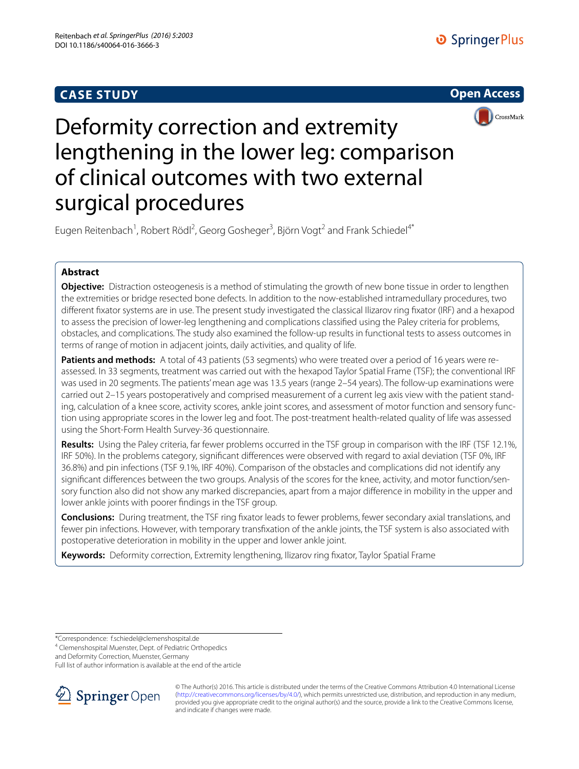## **CASE STUDY**





# Deformity correction and extremity lengthening in the lower leg: comparison of clinical outcomes with two external surgical procedures

Eugen Reitenbach<sup>1</sup>, Robert Rödl<sup>2</sup>, Georg Gosheger<sup>3</sup>, Björn Vogt<sup>2</sup> and Frank Schiedel<sup>4\*</sup>

## **Abstract**

**Objective:** Distraction osteogenesis is a method of stimulating the growth of new bone tissue in order to lengthen the extremities or bridge resected bone defects. In addition to the now-established intramedullary procedures, two different fixator systems are in use. The present study investigated the classical Ilizarov ring fixator (IRF) and a hexapod to assess the precision of lower-leg lengthening and complications classified using the Paley criteria for problems, obstacles, and complications. The study also examined the follow-up results in functional tests to assess outcomes in terms of range of motion in adjacent joints, daily activities, and quality of life.

**Patients and methods:** A total of 43 patients (53 segments) who were treated over a period of 16 years were reassessed. In 33 segments, treatment was carried out with the hexapod Taylor Spatial Frame (TSF); the conventional IRF was used in 20 segments. The patients' mean age was 13.5 years (range 2–54 years). The follow-up examinations were carried out 2–15 years postoperatively and comprised measurement of a current leg axis view with the patient standing, calculation of a knee score, activity scores, ankle joint scores, and assessment of motor function and sensory function using appropriate scores in the lower leg and foot. The post-treatment health-related quality of life was assessed using the Short-Form Health Survey-36 questionnaire.

**Results:** Using the Paley criteria, far fewer problems occurred in the TSF group in comparison with the IRF (TSF 12.1%, IRF 50%). In the problems category, significant differences were observed with regard to axial deviation (TSF 0%, IRF 36.8%) and pin infections (TSF 9.1%, IRF 40%). Comparison of the obstacles and complications did not identify any significant differences between the two groups. Analysis of the scores for the knee, activity, and motor function/sensory function also did not show any marked discrepancies, apart from a major difference in mobility in the upper and lower ankle joints with poorer findings in the TSF group.

**Conclusions:** During treatment, the TSF ring fixator leads to fewer problems, fewer secondary axial translations, and fewer pin infections. However, with temporary transfixation of the ankle joints, the TSF system is also associated with postoperative deterioration in mobility in the upper and lower ankle joint.

**Keywords:** Deformity correction, Extremity lengthening, Ilizarov ring fixator, Taylor Spatial Frame

\*Correspondence: f.schiedel@clemenshospital.de

and Deformity Correction, Muenster, Germany

Full list of author information is available at the end of the article



© The Author(s) 2016. This article is distributed under the terms of the Creative Commons Attribution 4.0 International License [\(http://creativecommons.org/licenses/by/4.0/\)](http://creativecommons.org/licenses/by/4.0/), which permits unrestricted use, distribution, and reproduction in any medium, provided you give appropriate credit to the original author(s) and the source, provide a link to the Creative Commons license, and indicate if changes were made.

<sup>4</sup> Clemenshospital Muenster, Dept. of Pediatric Orthopedics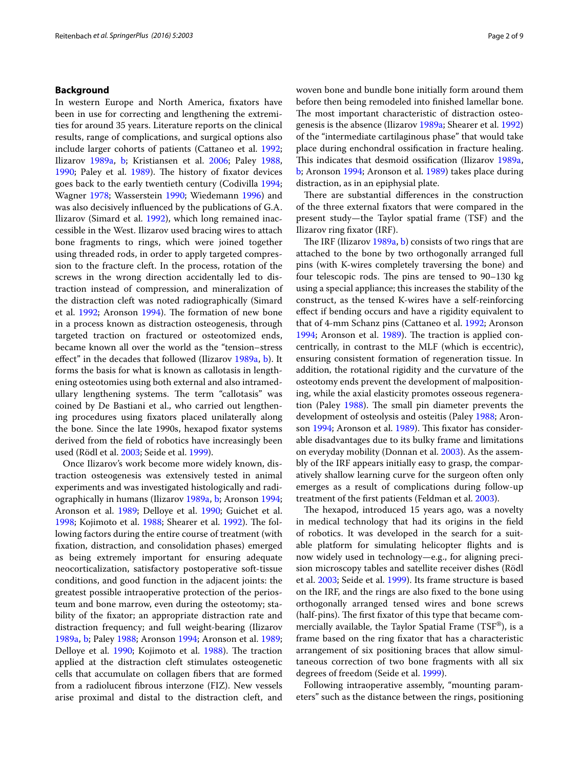#### **Background**

In western Europe and North America, fixators have been in use for correcting and lengthening the extremities for around 35 years. Literature reports on the clinical results, range of complications, and surgical options also include larger cohorts of patients (Cattaneo et al. [1992](#page-8-0); Ilizarov [1989a,](#page-8-1) [b](#page-8-2); Kristiansen et al. [2006;](#page-8-3) Paley [1988](#page-8-4), [1990](#page-8-5); Paley et al. [1989](#page-8-6)). The history of fixator devices goes back to the early twentieth century (Codivilla [1994](#page-8-7); Wagner [1978](#page-8-8); Wasserstein [1990](#page-8-9); Wiedemann [1996\)](#page-8-10) and was also decisively influenced by the publications of G.A. Ilizarov (Simard et al. [1992](#page-8-11)), which long remained inaccessible in the West. Ilizarov used bracing wires to attach bone fragments to rings, which were joined together using threaded rods, in order to apply targeted compression to the fracture cleft. In the process, rotation of the screws in the wrong direction accidentally led to distraction instead of compression, and mineralization of the distraction cleft was noted radiographically (Simard et al. [1992;](#page-8-11) Aronson [1994](#page-7-0)). The formation of new bone in a process known as distraction osteogenesis, through targeted traction on fractured or osteotomized ends, became known all over the world as the "tension–stress effect" in the decades that followed (Ilizarov [1989a,](#page-8-1) [b\)](#page-8-2). It forms the basis for what is known as callotasis in lengthening osteotomies using both external and also intramedullary lengthening systems. The term "callotasis" was coined by De Bastiani et al., who carried out lengthening procedures using fixators placed unilaterally along the bone. Since the late 1990s, hexapod fixator systems derived from the field of robotics have increasingly been used (Rödl et al. [2003](#page-8-12); Seide et al. [1999](#page-8-13)).

Once Ilizarov's work become more widely known, distraction osteogenesis was extensively tested in animal experiments and was investigated histologically and radiographically in humans (Ilizarov [1989a,](#page-8-1) [b;](#page-8-2) Aronson [1994](#page-7-0); Aronson et al. [1989;](#page-7-1) Delloye et al. [1990;](#page-8-14) Guichet et al. [1998](#page-8-15); Kojimoto et al. [1988](#page-8-16); Shearer et al. [1992](#page-8-17)). The following factors during the entire course of treatment (with fixation, distraction, and consolidation phases) emerged as being extremely important for ensuring adequate neocorticalization, satisfactory postoperative soft-tissue conditions, and good function in the adjacent joints: the greatest possible intraoperative protection of the periosteum and bone marrow, even during the osteotomy; stability of the fixator; an appropriate distraction rate and distraction frequency; and full weight-bearing (Ilizarov [1989a](#page-8-1), [b](#page-8-2); Paley [1988](#page-8-4); Aronson [1994](#page-7-0); Aronson et al. [1989](#page-7-1); Delloye et al. [1990](#page-8-14); Kojimoto et al. [1988](#page-8-16)). The traction applied at the distraction cleft stimulates osteogenetic cells that accumulate on collagen fibers that are formed from a radiolucent fibrous interzone (FIZ). New vessels arise proximal and distal to the distraction cleft, and woven bone and bundle bone initially form around them before then being remodeled into finished lamellar bone. The most important characteristic of distraction osteogenesis is the absence (Ilizarov [1989a;](#page-8-1) Shearer et al. [1992](#page-8-17)) of the "intermediate cartilaginous phase" that would take place during enchondral ossification in fracture healing. This indicates that desmoid ossification (Ilizarov [1989a](#page-8-1), [b;](#page-8-2) Aronson [1994;](#page-7-0) Aronson et al. [1989](#page-7-1)) takes place during distraction, as in an epiphysial plate.

There are substantial differences in the construction of the three external fixators that were compared in the present study—the Taylor spatial frame (TSF) and the Ilizarov ring fixator (IRF).

The IRF (Ilizarov [1989a,](#page-8-1) [b](#page-8-2)) consists of two rings that are attached to the bone by two orthogonally arranged full pins (with K-wires completely traversing the bone) and four telescopic rods. The pins are tensed to 90–130 kg using a special appliance; this increases the stability of the construct, as the tensed K-wires have a self-reinforcing effect if bending occurs and have a rigidity equivalent to that of 4-mm Schanz pins (Cattaneo et al. [1992](#page-8-0); Aronson [1994](#page-7-0); Aronson et al. [1989\)](#page-7-1). The traction is applied concentrically, in contrast to the MLF (which is eccentric), ensuring consistent formation of regeneration tissue. In addition, the rotational rigidity and the curvature of the osteotomy ends prevent the development of malpositioning, while the axial elasticity promotes osseous regeneration (Paley [1988\)](#page-8-4). The small pin diameter prevents the development of osteolysis and osteitis (Paley [1988](#page-8-4); Aronson [1994](#page-7-0); Aronson et al. [1989\)](#page-7-1). This fixator has considerable disadvantages due to its bulky frame and limitations on everyday mobility (Donnan et al. [2003](#page-8-18)). As the assembly of the IRF appears initially easy to grasp, the comparatively shallow learning curve for the surgeon often only emerges as a result of complications during follow-up treatment of the first patients (Feldman et al. [2003\)](#page-8-19).

The hexapod, introduced 15 years ago, was a novelty in medical technology that had its origins in the field of robotics. It was developed in the search for a suitable platform for simulating helicopter flights and is now widely used in technology—e.g., for aligning precision microscopy tables and satellite receiver dishes (Rödl et al. [2003;](#page-8-12) Seide et al. [1999](#page-8-13)). Its frame structure is based on the IRF, and the rings are also fixed to the bone using orthogonally arranged tensed wires and bone screws (half-pins). The first fixator of this type that became commercially available, the Taylor Spatial Frame (TSF®), is a frame based on the ring fixator that has a characteristic arrangement of six positioning braces that allow simultaneous correction of two bone fragments with all six degrees of freedom (Seide et al. [1999](#page-8-13)).

Following intraoperative assembly, "mounting parameters" such as the distance between the rings, positioning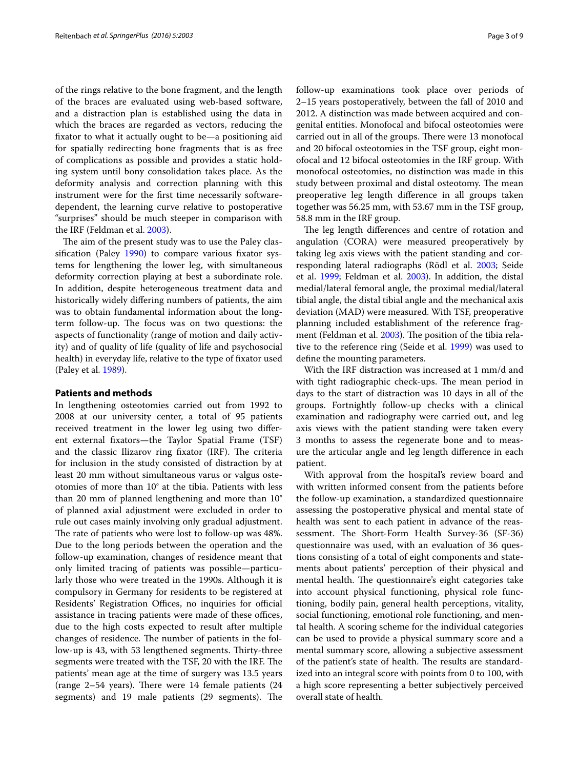of the rings relative to the bone fragment, and the length of the braces are evaluated using web-based software, and a distraction plan is established using the data in which the braces are regarded as vectors, reducing the fixator to what it actually ought to be—a positioning aid for spatially redirecting bone fragments that is as free of complications as possible and provides a static holding system until bony consolidation takes place. As the deformity analysis and correction planning with this instrument were for the first time necessarily softwaredependent, the learning curve relative to postoperative "surprises" should be much steeper in comparison with the IRF (Feldman et al. [2003](#page-8-19)).

The aim of the present study was to use the Paley classification (Paley [1990\)](#page-8-5) to compare various fixator systems for lengthening the lower leg, with simultaneous deformity correction playing at best a subordinate role. In addition, despite heterogeneous treatment data and historically widely differing numbers of patients, the aim was to obtain fundamental information about the longterm follow-up. The focus was on two questions: the aspects of functionality (range of motion and daily activity) and of quality of life (quality of life and psychosocial health) in everyday life, relative to the type of fixator used (Paley et al. [1989](#page-8-6)).

#### **Patients and methods**

In lengthening osteotomies carried out from 1992 to 2008 at our university center, a total of 95 patients received treatment in the lower leg using two different external fixators—the Taylor Spatial Frame (TSF) and the classic Ilizarov ring fixator (IRF). The criteria for inclusion in the study consisted of distraction by at least 20 mm without simultaneous varus or valgus osteotomies of more than 10° at the tibia. Patients with less than 20 mm of planned lengthening and more than 10° of planned axial adjustment were excluded in order to rule out cases mainly involving only gradual adjustment. The rate of patients who were lost to follow-up was 48%. Due to the long periods between the operation and the follow-up examination, changes of residence meant that only limited tracing of patients was possible—particularly those who were treated in the 1990s. Although it is compulsory in Germany for residents to be registered at Residents' Registration Offices, no inquiries for official assistance in tracing patients were made of these offices, due to the high costs expected to result after multiple changes of residence. The number of patients in the follow-up is 43, with 53 lengthened segments. Thirty-three segments were treated with the TSF, 20 with the IRF. The patients' mean age at the time of surgery was 13.5 years (range 2–54 years). There were 14 female patients (24 segments) and 19 male patients (29 segments). The follow-up examinations took place over periods of 2–15 years postoperatively, between the fall of 2010 and 2012. A distinction was made between acquired and congenital entities. Monofocal and bifocal osteotomies were carried out in all of the groups. There were 13 monofocal and 20 bifocal osteotomies in the TSF group, eight monofocal and 12 bifocal osteotomies in the IRF group. With monofocal osteotomies, no distinction was made in this study between proximal and distal osteotomy. The mean preoperative leg length difference in all groups taken together was 56.25 mm, with 53.67 mm in the TSF group, 58.8 mm in the IRF group.

The leg length differences and centre of rotation and angulation (CORA) were measured preoperatively by taking leg axis views with the patient standing and corresponding lateral radiographs (Rödl et al. [2003](#page-8-12); Seide et al. [1999;](#page-8-13) Feldman et al. [2003\)](#page-8-19). In addition, the distal medial/lateral femoral angle, the proximal medial/lateral tibial angle, the distal tibial angle and the mechanical axis deviation (MAD) were measured. With TSF, preoperative planning included establishment of the reference fragment (Feldman et al. [2003](#page-8-19)). The position of the tibia relative to the reference ring (Seide et al. [1999\)](#page-8-13) was used to define the mounting parameters.

With the IRF distraction was increased at 1 mm/d and with tight radiographic check-ups. The mean period in days to the start of distraction was 10 days in all of the groups. Fortnightly follow-up checks with a clinical examination and radiography were carried out, and leg axis views with the patient standing were taken every 3 months to assess the regenerate bone and to measure the articular angle and leg length difference in each patient.

With approval from the hospital's review board and with written informed consent from the patients before the follow-up examination, a standardized questionnaire assessing the postoperative physical and mental state of health was sent to each patient in advance of the reassessment. The Short-Form Health Survey-36 (SF-36) questionnaire was used, with an evaluation of 36 questions consisting of a total of eight components and statements about patients' perception of their physical and mental health. The questionnaire's eight categories take into account physical functioning, physical role functioning, bodily pain, general health perceptions, vitality, social functioning, emotional role functioning, and mental health. A scoring scheme for the individual categories can be used to provide a physical summary score and a mental summary score, allowing a subjective assessment of the patient's state of health. The results are standardized into an integral score with points from 0 to 100, with a high score representing a better subjectively perceived overall state of health.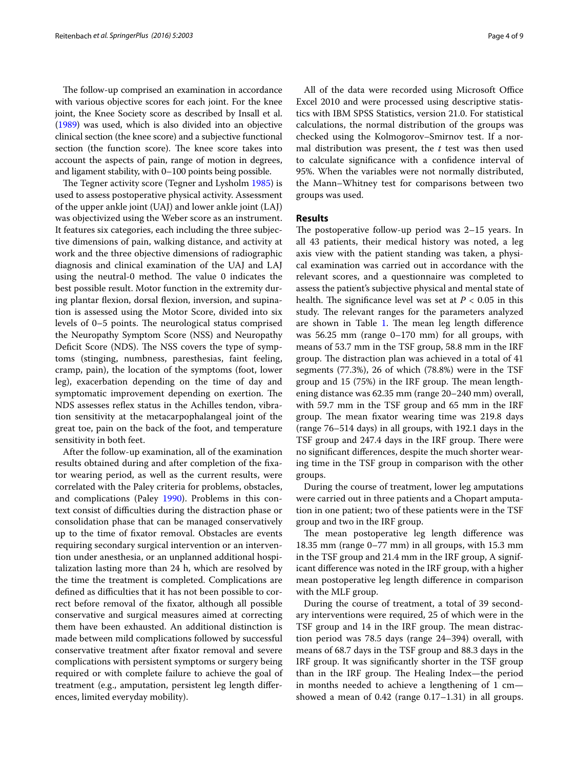The follow-up comprised an examination in accordance with various objective scores for each joint. For the knee joint, the Knee Society score as described by Insall et al. ([1989](#page-8-20)) was used, which is also divided into an objective clinical section (the knee score) and a subjective functional section (the function score). The knee score takes into account the aspects of pain, range of motion in degrees, and ligament stability, with 0–100 points being possible.

The Tegner activity score (Tegner and Lysholm [1985](#page-8-21)) is used to assess postoperative physical activity. Assessment of the upper ankle joint (UAJ) and lower ankle joint (LAJ) was objectivized using the Weber score as an instrument. It features six categories, each including the three subjective dimensions of pain, walking distance, and activity at work and the three objective dimensions of radiographic diagnosis and clinical examination of the UAJ and LAJ using the neutral-0 method. The value 0 indicates the best possible result. Motor function in the extremity during plantar flexion, dorsal flexion, inversion, and supination is assessed using the Motor Score, divided into six levels of 0–5 points. The neurological status comprised the Neuropathy Symptom Score (NSS) and Neuropathy Deficit Score (NDS). The NSS covers the type of symptoms (stinging, numbness, paresthesias, faint feeling, cramp, pain), the location of the symptoms (foot, lower leg), exacerbation depending on the time of day and symptomatic improvement depending on exertion. The NDS assesses reflex status in the Achilles tendon, vibration sensitivity at the metacarpophalangeal joint of the great toe, pain on the back of the foot, and temperature sensitivity in both feet.

After the follow-up examination, all of the examination results obtained during and after completion of the fixator wearing period, as well as the current results, were correlated with the Paley criteria for problems, obstacles, and complications (Paley [1990](#page-8-5)). Problems in this context consist of difficulties during the distraction phase or consolidation phase that can be managed conservatively up to the time of fixator removal. Obstacles are events requiring secondary surgical intervention or an intervention under anesthesia, or an unplanned additional hospitalization lasting more than 24 h, which are resolved by the time the treatment is completed. Complications are defined as difficulties that it has not been possible to correct before removal of the fixator, although all possible conservative and surgical measures aimed at correcting them have been exhausted. An additional distinction is made between mild complications followed by successful conservative treatment after fixator removal and severe complications with persistent symptoms or surgery being required or with complete failure to achieve the goal of treatment (e.g., amputation, persistent leg length differences, limited everyday mobility).

All of the data were recorded using Microsoft Office Excel 2010 and were processed using descriptive statistics with IBM SPSS Statistics, version 21.0. For statistical calculations, the normal distribution of the groups was checked using the Kolmogorov–Smirnov test. If a normal distribution was present, the *t* test was then used to calculate significance with a confidence interval of 95%. When the variables were not normally distributed, the Mann–Whitney test for comparisons between two groups was used.

#### **Results**

The postoperative follow-up period was 2–15 years. In all 43 patients, their medical history was noted, a leg axis view with the patient standing was taken, a physical examination was carried out in accordance with the relevant scores, and a questionnaire was completed to assess the patient's subjective physical and mental state of health. The significance level was set at  $P < 0.05$  in this study. The relevant ranges for the parameters analyzed are shown in Table [1](#page-4-0). The mean leg length difference was 56.25 mm (range 0–170 mm) for all groups, with means of 53.7 mm in the TSF group, 58.8 mm in the IRF group. The distraction plan was achieved in a total of 41 segments (77.3%), 26 of which (78.8%) were in the TSF group and 15 (75%) in the IRF group. The mean lengthening distance was 62.35 mm (range 20–240 mm) overall, with 59.7 mm in the TSF group and 65 mm in the IRF group. The mean fixator wearing time was 219.8 days (range 76–514 days) in all groups, with 192.1 days in the TSF group and 247.4 days in the IRF group. There were no significant differences, despite the much shorter wearing time in the TSF group in comparison with the other groups.

During the course of treatment, lower leg amputations were carried out in three patients and a Chopart amputation in one patient; two of these patients were in the TSF group and two in the IRF group.

The mean postoperative leg length difference was 18.35 mm (range 0–77 mm) in all groups, with 15.3 mm in the TSF group and 21.4 mm in the IRF group, A significant difference was noted in the IRF group, with a higher mean postoperative leg length difference in comparison with the MLF group.

During the course of treatment, a total of 39 secondary interventions were required, 25 of which were in the TSF group and 14 in the IRF group. The mean distraction period was 78.5 days (range 24–394) overall, with means of 68.7 days in the TSF group and 88.3 days in the IRF group. It was significantly shorter in the TSF group than in the IRF group. The Healing Index—the period in months needed to achieve a lengthening of 1 cm showed a mean of 0.42 (range 0.17–1.31) in all groups.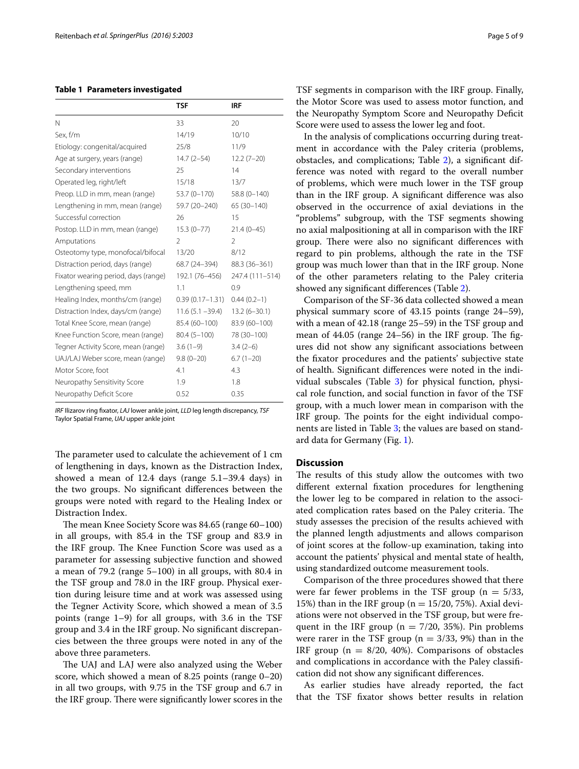#### <span id="page-4-0"></span>**Table 1 Parameters investigated**

|                                      | <b>TSF</b>          | <b>IRF</b>       |
|--------------------------------------|---------------------|------------------|
| N                                    | 33                  | 20               |
| Sex, f/m                             | 14/19               | 10/10            |
| Etiology: congenital/acquired        | 25/8                | 11/9             |
| Age at surgery, years (range)        | $14.7(2 - 54)$      | $12.2(7-20)$     |
| Secondary interventions              | 25                  | 14               |
| Operated leg, right/left             | 15/18               | 13/7             |
| Preop. LLD in mm, mean (range)       | 53.7 (0-170)        | 58.8 (0-140)     |
| Lengthening in mm, mean (range)      | 59.7 (20-240)       | 65 (30-140)      |
| Successful correction                | 26                  | 15               |
| Postop. LLD in mm, mean (range)      | $15.3(0 - 77)$      | $21.4(0-45)$     |
| Amputations                          | $\mathfrak{D}$      | 2                |
| Osteotomy type, monofocal/bifocal    | 13/20               | 8/12             |
| Distraction period, days (range)     | 68.7 (24-394)       | 88.3 (36-361)    |
| Fixator wearing period, days (range) | 192.1 (76-456)      | 247.4 (111-514)  |
| Lengthening speed, mm                | 1.1                 | 0.9              |
| Healing Index, months/cm (range)     | $0.39(0.17 - 1.31)$ | $0.44(0.2-1)$    |
| Distraction Index, days/cm (range)   | $11.6(5.1 - 39.4)$  | $13.2(6 - 30.1)$ |
| Total Knee Score, mean (range)       | 85.4 (60-100)       | 83.9 (60-100)    |
| Knee Function Score, mean (range)    | $80.4(5 - 100)$     | 78 (30-100)      |
| Tegner Activity Score, mean (range)  | $3.6(1-9)$          | $3.4(2-6)$       |
| UAJ/LAJ Weber score, mean (range)    | $9.8(0 - 20)$       | $6.7(1-20)$      |
| Motor Score, foot                    | 4.1                 | 4.3              |
| Neuropathy Sensitivity Score         | 1.9                 | 1.8              |
| Neuropathy Deficit Score             | 0.52                | 0.35             |

*IRF* Ilizarov ring fixator, *LAJ* lower ankle joint, *LLD* leg length discrepancy, *TSF* Taylor Spatial Frame, *UAJ* upper ankle joint

The parameter used to calculate the achievement of 1 cm of lengthening in days, known as the Distraction Index, showed a mean of 12.4 days (range 5.1–39.4 days) in the two groups. No significant differences between the groups were noted with regard to the Healing Index or Distraction Index.

The mean Knee Society Score was 84.65 (range 60–100) in all groups, with 85.4 in the TSF group and 83.9 in the IRF group. The Knee Function Score was used as a parameter for assessing subjective function and showed a mean of 79.2 (range 5–100) in all groups, with 80.4 in the TSF group and 78.0 in the IRF group. Physical exertion during leisure time and at work was assessed using the Tegner Activity Score, which showed a mean of 3.5 points (range 1–9) for all groups, with 3.6 in the TSF group and 3.4 in the IRF group. No significant discrepancies between the three groups were noted in any of the above three parameters.

The UAJ and LAJ were also analyzed using the Weber score, which showed a mean of 8.25 points (range 0–20) in all two groups, with 9.75 in the TSF group and 6.7 in the IRF group. There were significantly lower scores in the TSF segments in comparison with the IRF group. Finally, the Motor Score was used to assess motor function, and the Neuropathy Symptom Score and Neuropathy Deficit Score were used to assess the lower leg and foot.

In the analysis of complications occurring during treatment in accordance with the Paley criteria (problems, obstacles, and complications; Table [2\)](#page-5-0), a significant difference was noted with regard to the overall number of problems, which were much lower in the TSF group than in the IRF group. A significant difference was also observed in the occurrence of axial deviations in the "problems" subgroup, with the TSF segments showing no axial malpositioning at all in comparison with the IRF group. There were also no significant differences with regard to pin problems, although the rate in the TSF group was much lower than that in the IRF group. None of the other parameters relating to the Paley criteria showed any significant differences (Table [2\)](#page-5-0).

Comparison of the SF-36 data collected showed a mean physical summary score of 43.15 points (range 24–59), with a mean of 42.18 (range 25–59) in the TSF group and mean of 44.05 (range 24–56) in the IRF group. The figures did not show any significant associations between the fixator procedures and the patients' subjective state of health. Significant differences were noted in the individual subscales (Table [3](#page-6-0)) for physical function, physical role function, and social function in favor of the TSF group, with a much lower mean in comparison with the IRF group. The points for the eight individual components are listed in Table [3;](#page-6-0) the values are based on standard data for Germany (Fig. [1](#page-7-2)).

#### **Discussion**

The results of this study allow the outcomes with two different external fixation procedures for lengthening the lower leg to be compared in relation to the associated complication rates based on the Paley criteria. The study assesses the precision of the results achieved with the planned length adjustments and allows comparison of joint scores at the follow-up examination, taking into account the patients' physical and mental state of health, using standardized outcome measurement tools.

Comparison of the three procedures showed that there were far fewer problems in the TSF group ( $n = 5/33$ , 15%) than in the IRF group ( $n = 15/20$ , 75%). Axial deviations were not observed in the TSF group, but were frequent in the IRF group ( $n = 7/20$ , 35%). Pin problems were rarer in the TSF group ( $n = 3/33$ , 9%) than in the IRF group ( $n = 8/20, 40\%$ ). Comparisons of obstacles and complications in accordance with the Paley classification did not show any significant differences.

As earlier studies have already reported, the fact that the TSF fixator shows better results in relation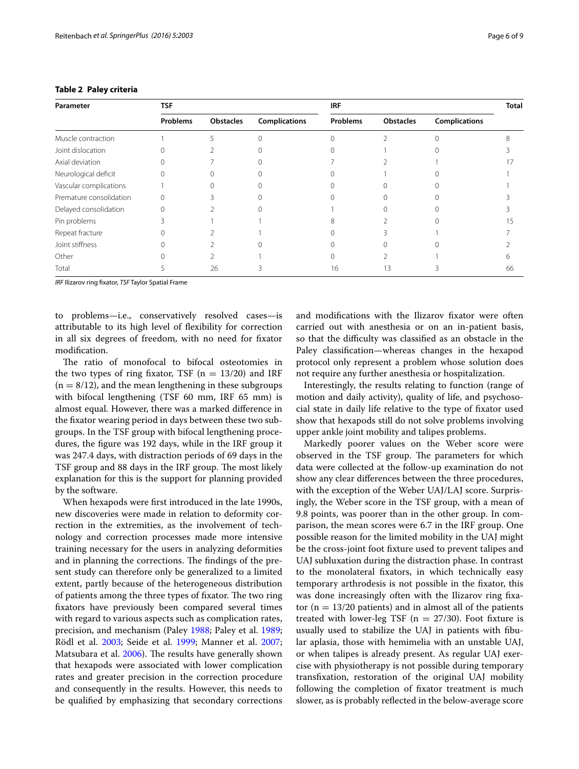| Parameter               | <b>TSF</b> |                  |               | <b>IRF</b>      |                  | <b>Total</b>         |    |
|-------------------------|------------|------------------|---------------|-----------------|------------------|----------------------|----|
|                         | Problems   | <b>Obstacles</b> | Complications | <b>Problems</b> | <b>Obstacles</b> | <b>Complications</b> |    |
| Muscle contraction      |            |                  |               |                 |                  |                      |    |
| Joint dislocation       |            |                  |               |                 |                  |                      |    |
| Axial deviation         |            |                  |               |                 |                  |                      |    |
| Neurological deficit    |            |                  |               |                 |                  |                      |    |
| Vascular complications  |            |                  |               |                 |                  |                      |    |
| Premature consolidation |            |                  |               |                 |                  |                      |    |
| Delayed consolidation   |            |                  |               |                 |                  |                      |    |
| Pin problems            |            |                  |               |                 |                  |                      |    |
| Repeat fracture         |            |                  |               |                 |                  |                      |    |
| Joint stiffness         |            |                  |               |                 |                  |                      |    |
| Other                   |            |                  |               |                 |                  |                      |    |
| Total                   |            | 26               |               | 16              | 3                |                      | 66 |

#### <span id="page-5-0"></span>**Table 2 Paley criteria**

*IRF* Ilizarov ring fixator, *TSF* Taylor Spatial Frame

to problems—i.e., conservatively resolved cases—is attributable to its high level of flexibility for correction in all six degrees of freedom, with no need for fixator modification.

The ratio of monofocal to bifocal osteotomies in the two types of ring fixator, TSF  $(n = 13/20)$  and IRF  $(n = 8/12)$ , and the mean lengthening in these subgroups with bifocal lengthening (TSF 60 mm, IRF 65 mm) is almost equal. However, there was a marked difference in the fixator wearing period in days between these two subgroups. In the TSF group with bifocal lengthening procedures, the figure was 192 days, while in the IRF group it was 247.4 days, with distraction periods of 69 days in the TSF group and 88 days in the IRF group. The most likely explanation for this is the support for planning provided by the software.

When hexapods were first introduced in the late 1990s, new discoveries were made in relation to deformity correction in the extremities, as the involvement of technology and correction processes made more intensive training necessary for the users in analyzing deformities and in planning the corrections. The findings of the present study can therefore only be generalized to a limited extent, partly because of the heterogeneous distribution of patients among the three types of fixator. The two ring fixators have previously been compared several times with regard to various aspects such as complication rates, precision, and mechanism (Paley [1988;](#page-8-4) Paley et al. [1989](#page-8-6); Rödl et al. [2003](#page-8-12); Seide et al. [1999;](#page-8-13) Manner et al. [2007](#page-8-22); Matsubara et al. [2006\)](#page-8-23). The results have generally shown that hexapods were associated with lower complication rates and greater precision in the correction procedure and consequently in the results. However, this needs to be qualified by emphasizing that secondary corrections and modifications with the Ilizarov fixator were often carried out with anesthesia or on an in-patient basis, so that the difficulty was classified as an obstacle in the Paley classification—whereas changes in the hexapod protocol only represent a problem whose solution does not require any further anesthesia or hospitalization.

Interestingly, the results relating to function (range of motion and daily activity), quality of life, and psychosocial state in daily life relative to the type of fixator used show that hexapods still do not solve problems involving upper ankle joint mobility and talipes problems.

Markedly poorer values on the Weber score were observed in the TSF group. The parameters for which data were collected at the follow-up examination do not show any clear differences between the three procedures, with the exception of the Weber UAJ/LAJ score. Surprisingly, the Weber score in the TSF group, with a mean of 9.8 points, was poorer than in the other group. In comparison, the mean scores were 6.7 in the IRF group. One possible reason for the limited mobility in the UAJ might be the cross-joint foot fixture used to prevent talipes and UAJ subluxation during the distraction phase. In contrast to the monolateral fixators, in which technically easy temporary arthrodesis is not possible in the fixator, this was done increasingly often with the Ilizarov ring fixator  $(n = 13/20$  patients) and in almost all of the patients treated with lower-leg TSF ( $n = 27/30$ ). Foot fixture is usually used to stabilize the UAJ in patients with fibular aplasia, those with hemimelia with an unstable UAJ, or when talipes is already present. As regular UAJ exercise with physiotherapy is not possible during temporary transfixation, restoration of the original UAJ mobility following the completion of fixator treatment is much slower, as is probably reflected in the below-average score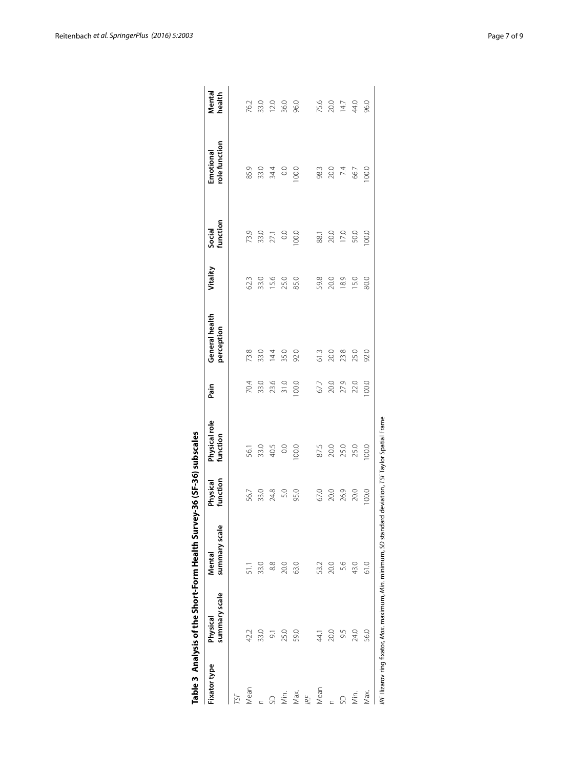|              | Table 3 Analysis of the Short-Form Health Survey-36 (SF-36) subscales                                  |                         |                      |                           |                                      |                                      |               |                                     |                            |                              |
|--------------|--------------------------------------------------------------------------------------------------------|-------------------------|----------------------|---------------------------|--------------------------------------|--------------------------------------|---------------|-------------------------------------|----------------------------|------------------------------|
| Fixator type | summary scale<br>Physical                                                                              | summary scale<br>Mental | function<br>Physical | Physical role<br>function | Pain                                 | General health<br>perception         | Vitality      | Social<br>function                  | role function<br>Emotional | Mental<br>health             |
| TSF          |                                                                                                        |                         |                      |                           |                                      |                                      |               |                                     |                            |                              |
| Mean         | 42.2                                                                                                   | 51.1                    | 56.7                 |                           |                                      | 73.8                                 |               |                                     |                            | 76.2                         |
|              | 33.0                                                                                                   | 33.0                    | 33.0                 |                           | 70.4<br>33.0<br>23.6<br>30.0<br>30.0 |                                      | 0.30000000000 | $73.0$<br>$75.0$<br>$75.0$<br>$0.0$ |                            |                              |
|              | $\overline{5}$                                                                                         | 8.8                     | 24.8                 |                           |                                      | $33.0$<br>$14.0$<br>$35.0$<br>$92.0$ |               |                                     |                            | 33.0<br>12.0                 |
| Min.         | 25.0                                                                                                   | 20.0                    | 5.0                  |                           |                                      |                                      |               |                                     |                            | 36.0<br>96.0                 |
| Max.         | 59.0                                                                                                   | 63.0                    | 95.0                 | 100.0                     |                                      |                                      |               | 100.0                               | $\overline{00}$            |                              |
| <b>IRF</b>   |                                                                                                        |                         |                      |                           |                                      |                                      |               |                                     |                            |                              |
| Mean         | $\frac{1}{4}$                                                                                          | 53.2                    |                      |                           |                                      | 61.3                                 | 59.8          | 88.1                                |                            |                              |
|              | 20.0                                                                                                   | 20.0                    | 67.0<br>20.0<br>26.9 |                           |                                      |                                      | 20.0<br>18.9  |                                     | 98.3<br>20.0               |                              |
| SD           | 95                                                                                                     | 5.6                     |                      | 87.5<br>20.0<br>25.0      | 67.7<br>20.0<br>27.9<br>22.0         | 20.0<br>23.8<br>25.0                 |               | 20.0<br>17.0<br>50.0                | 7.4<br>66.7                | 75.6<br>20.0<br>75.7<br>44.0 |
| Sin.         | 24.0                                                                                                   | 43.0                    | 20.0                 |                           |                                      |                                      | 15.0          |                                     |                            |                              |
| Max.         | 56.0                                                                                                   | 61.0                    | 100.0                | 100.0                     | 00.0                                 | 92.0                                 | 80.0          | 100.0                               | 100.0                      | 96.0                         |
|              | IRF Ilizarov ring fixator, Max. maximum, Min. minimum, SD standard deviation, TSF Taylor Spatial Frame |                         |                      |                           |                                      |                                      |               |                                     |                            |                              |

<span id="page-6-0"></span>

| l<br>١<br>ı<br>l |
|------------------|
| ١<br>ļ           |
|                  |
|                  |
| ֠                |
| I<br>ľ           |
|                  |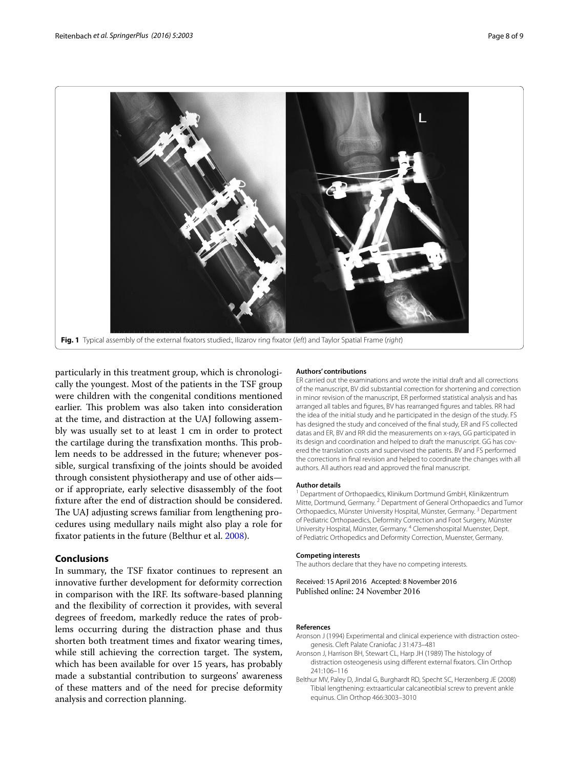

<span id="page-7-2"></span>particularly in this treatment group, which is chronologically the youngest. Most of the patients in the TSF group were children with the congenital conditions mentioned earlier. This problem was also taken into consideration at the time, and distraction at the UAJ following assembly was usually set to at least 1 cm in order to protect the cartilage during the transfixation months. This problem needs to be addressed in the future; whenever possible, surgical transfixing of the joints should be avoided through consistent physiotherapy and use of other aids or if appropriate, early selective disassembly of the foot fixture after the end of distraction should be considered. The UAJ adjusting screws familiar from lengthening procedures using medullary nails might also play a role for fixator patients in the future (Belthur et al. [2008](#page-7-3)).

#### **Conclusions**

In summary, the TSF fixator continues to represent an innovative further development for deformity correction in comparison with the IRF. Its software-based planning and the flexibility of correction it provides, with several degrees of freedom, markedly reduce the rates of problems occurring during the distraction phase and thus shorten both treatment times and fixator wearing times, while still achieving the correction target. The system, which has been available for over 15 years, has probably made a substantial contribution to surgeons' awareness of these matters and of the need for precise deformity analysis and correction planning.

#### **Authors' contributions**

ER carried out the examinations and wrote the initial draft and all corrections of the manuscript, BV did substantial correction for shortening and correction in minor revision of the manuscript, ER performed statistical analysis and has arranged all tables and figures, BV has rearranged figures and tables. RR had the idea of the initial study and he participated in the design of the study. FS has designed the study and conceived of the final study, ER and FS collected datas and ER, BV and RR did the measurements on x-rays, GG participated in its design and coordination and helped to draft the manuscript. GG has covered the translation costs and supervised the patients. BV and FS performed the corrections in final revision and helped to coordinate the changes with all authors. All authors read and approved the final manuscript.

#### **Author details**

<sup>1</sup> Department of Orthopaedics, Klinikum Dortmund GmbH, Klinikzentrum Mitte, Dortmund, Germany. <sup>2</sup> Department of General Orthopaedics and Tumor Orthopaedics, Münster University Hospital, Münster, Germany. 3 Department of Pediatric Orthopaedics, Deformity Correction and Foot Surgery, Münster University Hospital, Münster, Germany. 4 Clemenshospital Muenster, Dept. of Pediatric Orthopedics and Deformity Correction, Muenster, Germany.

#### **Competing interests**

The authors declare that they have no competing interests.

Received: 15 April 2016 Accepted: 8 November 2016 Published online: 24 November 2016

#### **References**

- <span id="page-7-0"></span>Aronson J (1994) Experimental and clinical experience with distraction osteogenesis. Cleft Palate Craniofac J 31:473–481
- <span id="page-7-1"></span>Aronson J, Harrison BH, Stewart CL, Harp JH (1989) The histology of distraction osteogenesis using different external fixators. Clin Orthop 241:106–116
- <span id="page-7-3"></span>Belthur MV, Paley D, Jindal G, Burghardt RD, Specht SC, Herzenberg JE (2008) Tibial lengthening: extraarticular calcaneotibial screw to prevent ankle equinus. Clin Orthop 466:3003–3010